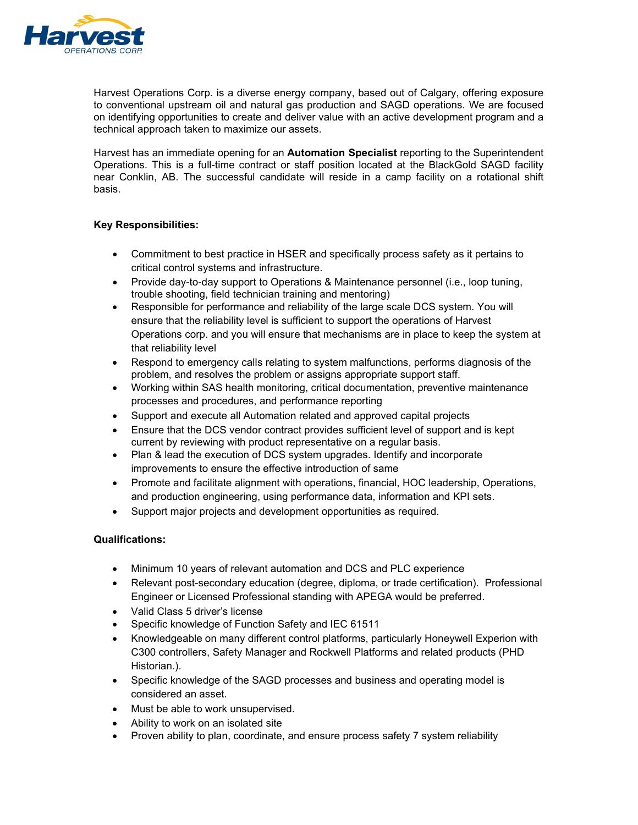

Harvest Operations Corp. is a diverse energy company, based out of Calgary, offering exposure to conventional upstream oil and natural gas production and SAGD operations. We are focused on identifying opportunities to create and deliver value with an active development program and a technical approach taken to maximize our assets.

Harvest has an immediate opening for an **Automation Specialist** reporting to the Superintendent Operations. This is a full-time contract or staff position located at the BlackGold SAGD facility near Conklin, AB. The successful candidate will reside in a camp facility on a rotational shift basis.

## **Key Responsibilities:**

- Commitment to best practice in HSER and specifically process safety as it pertains to critical control systems and infrastructure.
- Provide day-to-day support to Operations & Maintenance personnel (i.e., loop tuning, trouble shooting, field technician training and mentoring)
- Responsible for performance and reliability of the large scale DCS system. You will ensure that the reliability level is sufficient to support the operations of Harvest Operations corp. and you will ensure that mechanisms are in place to keep the system at that reliability level
- Respond to emergency calls relating to system malfunctions, performs diagnosis of the problem, and resolves the problem or assigns appropriate support staff.
- Working within SAS health monitoring, critical documentation, preventive maintenance processes and procedures, and performance reporting
- Support and execute all Automation related and approved capital projects
- Ensure that the DCS vendor contract provides sufficient level of support and is kept current by reviewing with product representative on a regular basis.
- Plan & lead the execution of DCS system upgrades. Identify and incorporate improvements to ensure the effective introduction of same
- Promote and facilitate alignment with operations, financial, HOC leadership, Operations, and production engineering, using performance data, information and KPI sets.
- Support major projects and development opportunities as required.

## **Qualifications:**

- Minimum 10 years of relevant automation and DCS and PLC experience
- Relevant post-secondary education (degree, diploma, or trade certification). Professional Engineer or Licensed Professional standing with APEGA would be preferred.
- Valid Class 5 driver's license
- Specific knowledge of Function Safety and IEC 61511
- Knowledgeable on many different control platforms, particularly Honeywell Experion with C300 controllers, Safety Manager and Rockwell Platforms and related products (PHD Historian.).
- Specific knowledge of the SAGD processes and business and operating model is considered an asset.
- Must be able to work unsupervised.
- Ability to work on an isolated site
- Proven ability to plan, coordinate, and ensure process safety 7 system reliability